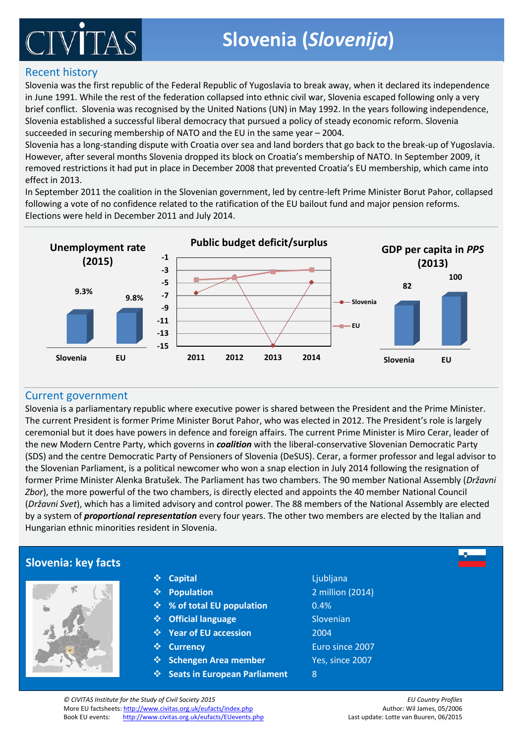# IVÌ

#### Recent history

Slovenia was the first republic of the Federal Republic of Yugoslavia to break away, when it declared its independence in June 1991. While the rest of the federation collapsed into ethnic civil war, Slovenia escaped following only a very brief conflict. Slovenia was recognised by the United Nations (UN) in May 1992. In the years following independence, Slovenia established a successful liberal democracy that pursued a policy of steady economic reform. Slovenia succeeded in securing membership of NATO and the EU in the same year – 2004.

Slovenia has a long-standing dispute with Croatia over sea and land borders that go back to the break-up of Yugoslavia. However, after several months Slovenia dropped its block on Croatia's membership of NATO. In September 2009, it removed restrictions it had put in place in December 2008 that prevented Croatia's EU membership, which came into effect in 2013.

Elections were held in December 2011 and July 2014. In September 2011 the coalition in the Slovenian government, led by centre-left Prime Minister Borut Pahor, collapsed following a vote of no confidence related to the ratification of the EU bailout fund and major pension reforms.



#### Current government

Slovenia is a parliamentary republic where executive power is shared between the President and the Prime Minister. The current President is former Prime Minister Borut Pahor, who was elected in 2012. The President's role is largely ceremonial but it does have powers in defence and foreign affairs. The current Prime Minister is Miro Cerar, leader of (SDS) and the centr[e Democratic Party of Pensioners of Slovenia](http://en.wikipedia.org/wiki/Democratic_Party_of_Pensioners_of_Slovenia) (DeSUS). Cerar, a former professor and legal advisor to the Slovenian Parliament, is a political newcomer who won a snap election in July 2014 following the resignation of<br>Second Prime Minister Alecle Part Xd. The Parliament has been been The 20 map to Minister Account 10 minis the new Modern Centre Party, which governs in *coalition* with the liberal-conservative Slovenian Democratic Party former Prime Minister Alenka Bratušek. The Parliament has two chambers. The 90 member National Assembly (*Državni Zbor*), the more powerful of the two chambers, is directly elected and appoints the 40 member National Council (*Državni Svet*), which has a limited advisory and control power. The 88 members of the National Assembly are elected by a system of *proportional representation* every four years. The other two members are elected by the Italian and Hungarian ethnic minorities resident in Slovenia.

#### **Slovenia: key facts**



| ⋟ | <b>Capital</b> |
|---|----------------|
|   |                |

First-Past-The-Post

- becomes the local representative. Candidates campaign door-to-door, hold debates and **% of total EU population** 0.4%
- **Publish manifestos (comparable to shopping list of what they are planning to do once the comparable to do once the strategies of what they are planning to do once they are planning to do once the strategies of what they a**
- they are in power). Eligible voters, about 46m in the UK, receive their polling card once **Year of EU accession** 2004
	- $\div$  Currency
	- **Schengen Area member** Yes, since 2007
- **Party with most of the votes is invited by the votes in the votes is no seats in European Parliament** 8 clear winner, there is a hung Parliament. In this case, a minority or coalition government
- $\clubsuit$  Canital system. Each of the 650 voting constituencies in the UK are represented by  $\clubsuit$ an MP. During the general and most local elections, the candidate with most of the votes **Population** 2 million (2014) **Capital** Ljubljana Euro since 2007